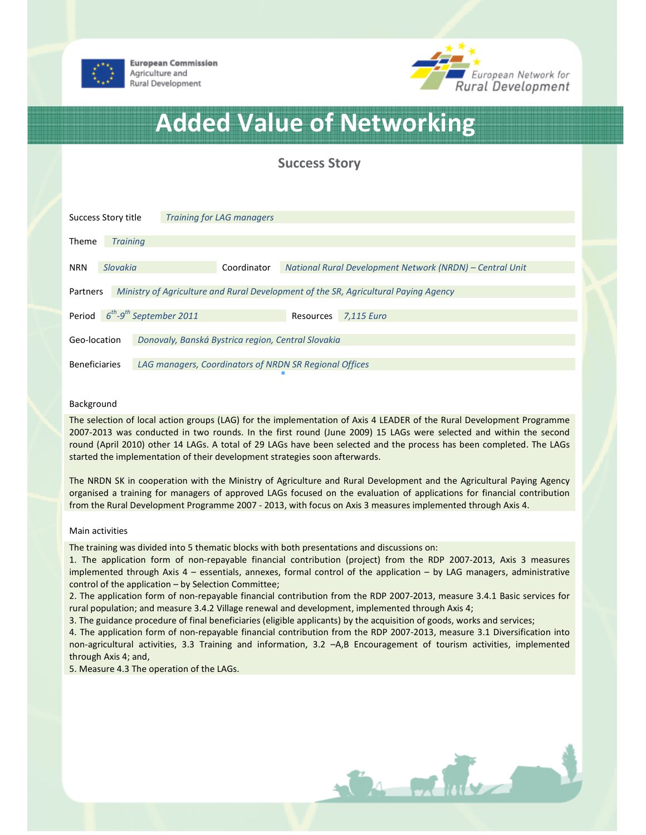

**European Commission** Agriculture and Rural Development



# Added Value of Networking

Success Story

| Success Story title                                                                             |                 |                                                        | <b>Training for LAG managers</b> |           |                                                          |  |
|-------------------------------------------------------------------------------------------------|-----------------|--------------------------------------------------------|----------------------------------|-----------|----------------------------------------------------------|--|
| <b>Theme</b>                                                                                    | <b>Training</b> |                                                        |                                  |           |                                                          |  |
| <b>NRN</b>                                                                                      | Slovakia        |                                                        | Coordinator                      |           | National Rural Development Network (NRDN) – Central Unit |  |
| Ministry of Agriculture and Rural Development of the SR, Agricultural Paying Agency<br>Partners |                 |                                                        |                                  |           |                                                          |  |
| $6^{th}$ -9 <sup>th</sup> September 2011<br>Period                                              |                 |                                                        |                                  | Resources | 7.115 Euro                                               |  |
| Donovaly, Banská Bystrica region, Central Slovakia<br>Geo-location                              |                 |                                                        |                                  |           |                                                          |  |
| <b>Beneficiaries</b>                                                                            |                 | LAG managers, Coordinators of NRDN SR Regional Offices |                                  |           |                                                          |  |

# Background

The selection of local action groups (LAG) for the implementation of Axis 4 LEADER of the Rural Development Programme 2007-2013 was conducted in two rounds. In the first round (June 2009) 15 LAGs were selected and within the second round (April 2010) other 14 LAGs. A total of 29 LAGs have been selected and the process has been completed. The LAGs started the implementation of their development strategies soon afterwards.

The NRDN SK in cooperation with the Ministry of Agriculture and Rural Development and the Agricultural Paying Agency organised a training for managers of approved LAGs focused on the evaluation of applications for financial contribution from the Rural Development Programme 2007 - 2013, with focus on Axis 3 measures implemented through Axis 4.

### Main activities

The training was divided into 5 thematic blocks with both presentations and discussions on:

1. The application form of non-repayable financial contribution (project) from the RDP 2007-2013, Axis 3 measures implemented through Axis 4 – essentials, annexes, formal control of the application – by LAG managers, administrative control of the application – by Selection Committee;

2. The application form of non-repayable financial contribution from the RDP 2007-2013, measure 3.4.1 Basic services for rural population; and measure 3.4.2 Village renewal and development, implemented through Axis 4;

3. The guidance procedure of final beneficiaries (eligible applicants) by the acquisition of goods, works and services;

4. The application form of non-repayable financial contribution from the RDP 2007-2013, measure 3.1 Diversification into non-agricultural activities, 3.3 Training and information, 3.2 –A,B Encouragement of tourism activities, implemented through Axis 4; and,

5. Measure 4.3 The operation of the LAGs.